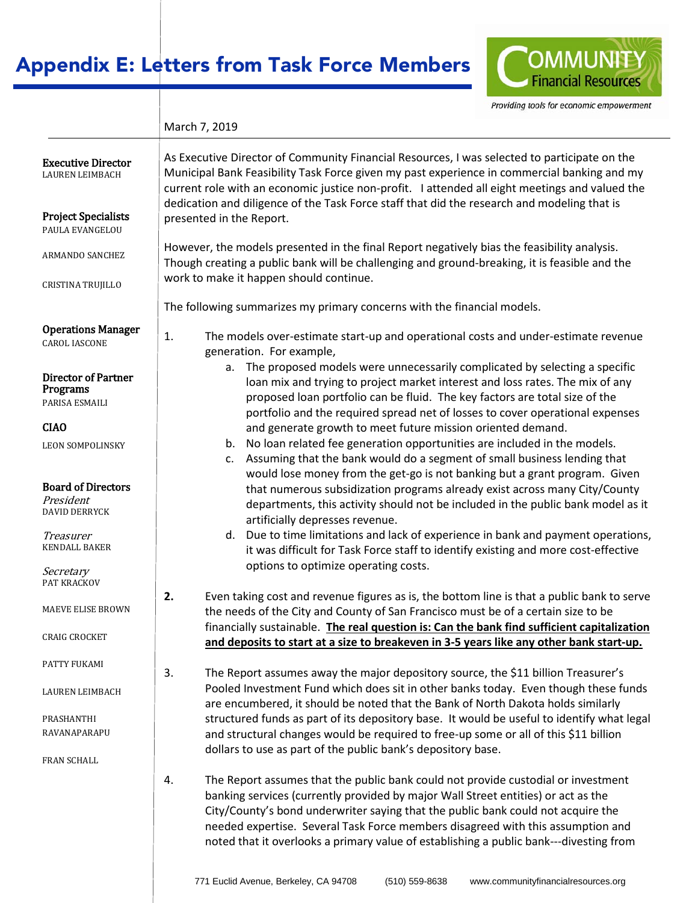# Appendix E: Letters from Task Force Members



Providing tools for economic empowerment

| March 7, 2019 |  |
|---------------|--|
|               |  |

| <b>Executive Director</b><br><b>LAUREN LEIMBACH</b>            | As Executive Director of Community Financial Resources, I was selected to participate on the<br>Municipal Bank Feasibility Task Force given my past experience in commercial banking and my<br>current role with an economic justice non-profit. I attended all eight meetings and valued the<br>dedication and diligence of the Task Force staff that did the research and modeling that is                                                  |
|----------------------------------------------------------------|-----------------------------------------------------------------------------------------------------------------------------------------------------------------------------------------------------------------------------------------------------------------------------------------------------------------------------------------------------------------------------------------------------------------------------------------------|
| <b>Project Specialists</b><br>PAULA EVANGELOU                  | presented in the Report.                                                                                                                                                                                                                                                                                                                                                                                                                      |
| ARMANDO SANCHEZ                                                | However, the models presented in the final Report negatively bias the feasibility analysis.<br>Though creating a public bank will be challenging and ground-breaking, it is feasible and the                                                                                                                                                                                                                                                  |
| CRISTINA TRUJILLO                                              | work to make it happen should continue.                                                                                                                                                                                                                                                                                                                                                                                                       |
|                                                                | The following summarizes my primary concerns with the financial models.                                                                                                                                                                                                                                                                                                                                                                       |
| <b>Operations Manager</b><br><b>CAROL IASCONE</b>              | The models over-estimate start-up and operational costs and under-estimate revenue<br>1.<br>generation. For example,                                                                                                                                                                                                                                                                                                                          |
| <b>Director of Partner</b><br>Programs<br>PARISA ESMAILI       | a. The proposed models were unnecessarily complicated by selecting a specific<br>loan mix and trying to project market interest and loss rates. The mix of any<br>proposed loan portfolio can be fluid. The key factors are total size of the<br>portfolio and the required spread net of losses to cover operational expenses                                                                                                                |
| <b>CIAO</b>                                                    | and generate growth to meet future mission oriented demand.                                                                                                                                                                                                                                                                                                                                                                                   |
| <b>LEON SOMPOLINSKY</b>                                        | b. No loan related fee generation opportunities are included in the models.<br>Assuming that the bank would do a segment of small business lending that<br>C.<br>would lose money from the get-go is not banking but a grant program. Given                                                                                                                                                                                                   |
| <b>Board of Directors</b><br>President<br><b>DAVID DERRYCK</b> | that numerous subsidization programs already exist across many City/County<br>departments, this activity should not be included in the public bank model as it<br>artificially depresses revenue.                                                                                                                                                                                                                                             |
| Treasurer<br><b>KENDALL BAKER</b><br>Secretary                 | Due to time limitations and lack of experience in bank and payment operations,<br>d.<br>it was difficult for Task Force staff to identify existing and more cost-effective<br>options to optimize operating costs.                                                                                                                                                                                                                            |
| PAT KRACKOV                                                    |                                                                                                                                                                                                                                                                                                                                                                                                                                               |
| <b>MAEVE ELISE BROWN</b>                                       | 2.<br>Even taking cost and revenue figures as is, the bottom line is that a public bank to serve<br>the needs of the City and County of San Francisco must be of a certain size to be<br>financially sustainable. The real question is: Can the bank find sufficient capitalization                                                                                                                                                           |
| <b>CRAIG CROCKET</b>                                           | and deposits to start at a size to breakeven in 3-5 years like any other bank start-up.                                                                                                                                                                                                                                                                                                                                                       |
| PATTY FUKAMI                                                   | The Report assumes away the major depository source, the \$11 billion Treasurer's<br>3.                                                                                                                                                                                                                                                                                                                                                       |
| <b>LAUREN LEIMBACH</b>                                         | Pooled Investment Fund which does sit in other banks today. Even though these funds<br>are encumbered, it should be noted that the Bank of North Dakota holds similarly                                                                                                                                                                                                                                                                       |
| PRASHANTHI                                                     | structured funds as part of its depository base. It would be useful to identify what legal                                                                                                                                                                                                                                                                                                                                                    |
| <b>RAVANAPARAPU</b>                                            | and structural changes would be required to free-up some or all of this \$11 billion                                                                                                                                                                                                                                                                                                                                                          |
| FRAN SCHALL                                                    | dollars to use as part of the public bank's depository base.                                                                                                                                                                                                                                                                                                                                                                                  |
|                                                                | The Report assumes that the public bank could not provide custodial or investment<br>4.<br>banking services (currently provided by major Wall Street entities) or act as the<br>City/County's bond underwriter saying that the public bank could not acquire the<br>needed expertise. Several Task Force members disagreed with this assumption and<br>noted that it overlooks a primary value of establishing a public bank---divesting from |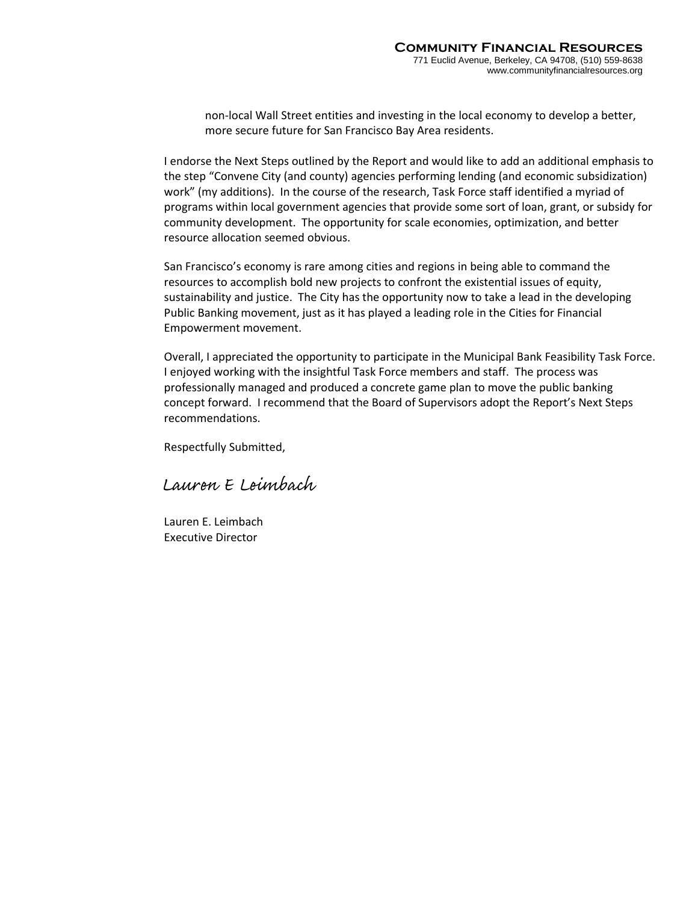non-local Wall Street entities and investing in the local economy to develop a better, more secure future for San Francisco Bay Area residents.

I endorse the Next Steps outlined by the Report and would like to add an additional emphasis to the step "Convene City (and county) agencies performing lending (and economic subsidization) work" (my additions). In the course of the research, Task Force staff identified a myriad of programs within local government agencies that provide some sort of loan, grant, or subsidy for community development. The opportunity for scale economies, optimization, and better resource allocation seemed obvious.

San Francisco's economy is rare among cities and regions in being able to command the resources to accomplish bold new projects to confront the existential issues of equity, sustainability and justice. The City has the opportunity now to take a lead in the developing Public Banking movement, just as it has played a leading role in the Cities for Financial Empowerment movement.

Overall, I appreciated the opportunity to participate in the Municipal Bank Feasibility Task Force. I enjoyed working with the insightful Task Force members and staff. The process was professionally managed and produced a concrete game plan to move the public banking concept forward. I recommend that the Board of Supervisors adopt the Report's Next Steps recommendations.

Respectfully Submitted,

Lauren E Leimbach

Lauren E. Leimbach Executive Director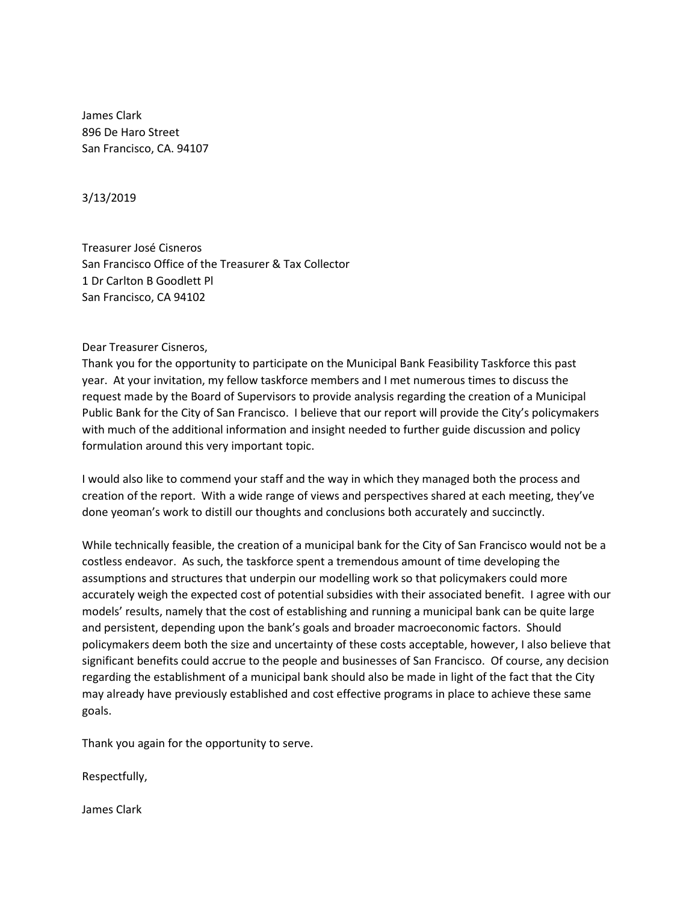James Clark 896 De Haro Street San Francisco, CA. 94107

3/13/2019

Treasurer José Cisneros San Francisco Office of the Treasurer & Tax Collector 1 Dr Carlton B Goodlett Pl San Francisco, CA 94102

Dear Treasurer Cisneros,

Thank you for the opportunity to participate on the Municipal Bank Feasibility Taskforce this past year. At your invitation, my fellow taskforce members and I met numerous times to discuss the request made by the Board of Supervisors to provide analysis regarding the creation of a Municipal Public Bank for the City of San Francisco. I believe that our report will provide the City's policymakers with much of the additional information and insight needed to further guide discussion and policy formulation around this very important topic.

I would also like to commend your staff and the way in which they managed both the process and creation of the report. With a wide range of views and perspectives shared at each meeting, they've done yeoman's work to distill our thoughts and conclusions both accurately and succinctly.

While technically feasible, the creation of a municipal bank for the City of San Francisco would not be a costless endeavor. As such, the taskforce spent a tremendous amount of time developing the assumptions and structures that underpin our modelling work so that policymakers could more accurately weigh the expected cost of potential subsidies with their associated benefit. I agree with our models' results, namely that the cost of establishing and running a municipal bank can be quite large and persistent, depending upon the bank's goals and broader macroeconomic factors. Should policymakers deem both the size and uncertainty of these costs acceptable, however, I also believe that significant benefits could accrue to the people and businesses of San Francisco. Of course, any decision regarding the establishment of a municipal bank should also be made in light of the fact that the City may already have previously established and cost effective programs in place to achieve these same goals.

Thank you again for the opportunity to serve.

Respectfully,

James Clark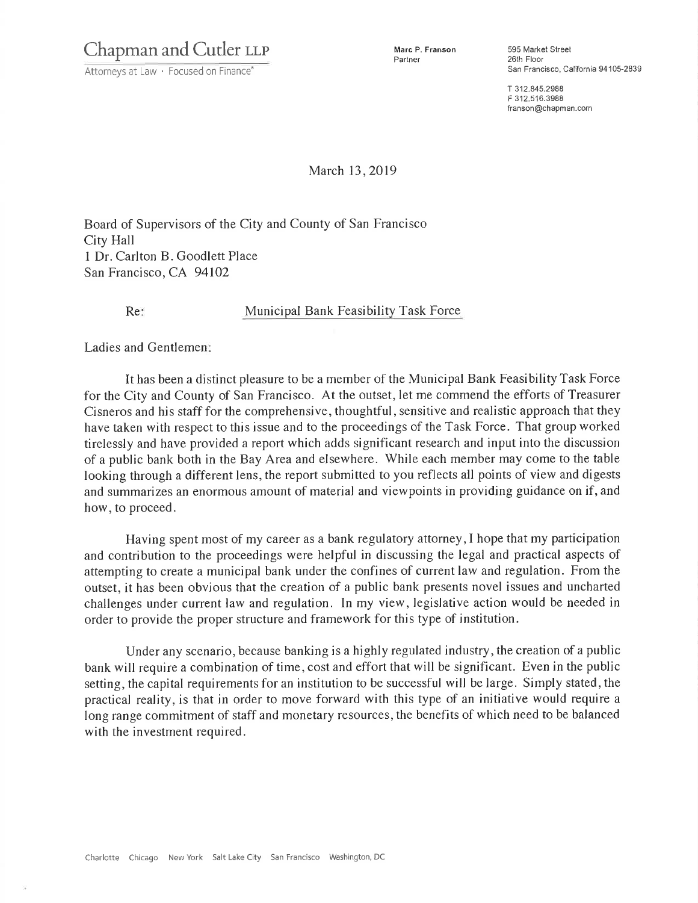Chapman and Cutler LLP

Attorneys at Law · Focused on Finance®

Marc P. Franson Partner

595 Market Street 26th Floor San Francisco, California 94105-2839

T 312,845.2988 F 312 516 3988 franson@chapman.com

March 13, 2019

Board of Supervisors of the City and County of San Francisco City Hall 1 Dr. Carlton B. Goodlett Place San Francisco, CA 94102

 $Re:$ 

Municipal Bank Feasibility Task Force

Ladies and Gentlemen:

It has been a distinct pleasure to be a member of the Municipal Bank Feasibility Task Force for the City and County of San Francisco. At the outset, let me commend the efforts of Treasurer Cisneros and his staff for the comprehensive, thoughtful, sensitive and realistic approach that they have taken with respect to this issue and to the proceedings of the Task Force. That group worked tirelessly and have provided a report which adds significant research and input into the discussion of a public bank both in the Bay Area and elsewhere. While each member may come to the table looking through a different lens, the report submitted to you reflects all points of view and digests and summarizes an enormous amount of material and viewpoints in providing guidance on if, and how, to proceed.

Having spent most of my career as a bank regulatory attorney, I hope that my participation and contribution to the proceedings were helpful in discussing the legal and practical aspects of attempting to create a municipal bank under the confines of current law and regulation. From the outset, it has been obvious that the creation of a public bank presents novel issues and uncharted challenges under current law and regulation. In my view, legislative action would be needed in order to provide the proper structure and framework for this type of institution.

Under any scenario, because banking is a highly regulated industry, the creation of a public bank will require a combination of time, cost and effort that will be significant. Even in the public setting, the capital requirements for an institution to be successful will be large. Simply stated, the practical reality, is that in order to move forward with this type of an initiative would require a long range commitment of staff and monetary resources, the benefits of which need to be balanced with the investment required.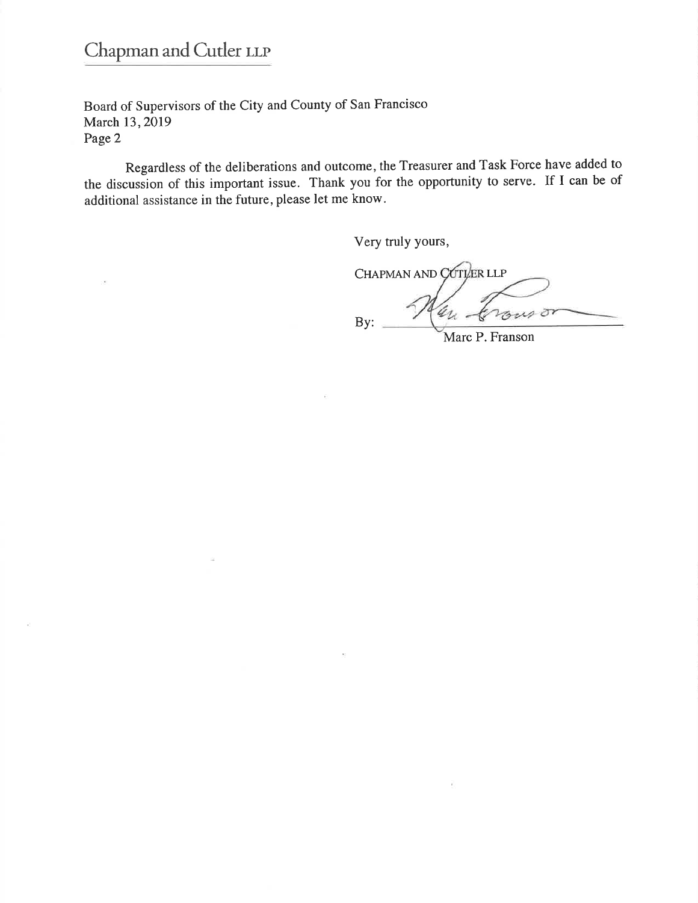# Chapman and Cutler LLP

Board of Supervisors of the City and County of San Francisco March 13, 2019 Page 2

Regardless of the deliberations and outcome, the Treasurer and Task Force have added to the discussion of this important issue. Thank you for the opportunity to serve. If I can be of additional assistance in the future, please let me know.

Very truly yours,

CHAPMAN AND COTLER LLP ar. may or By:

Marc P. Franson

V.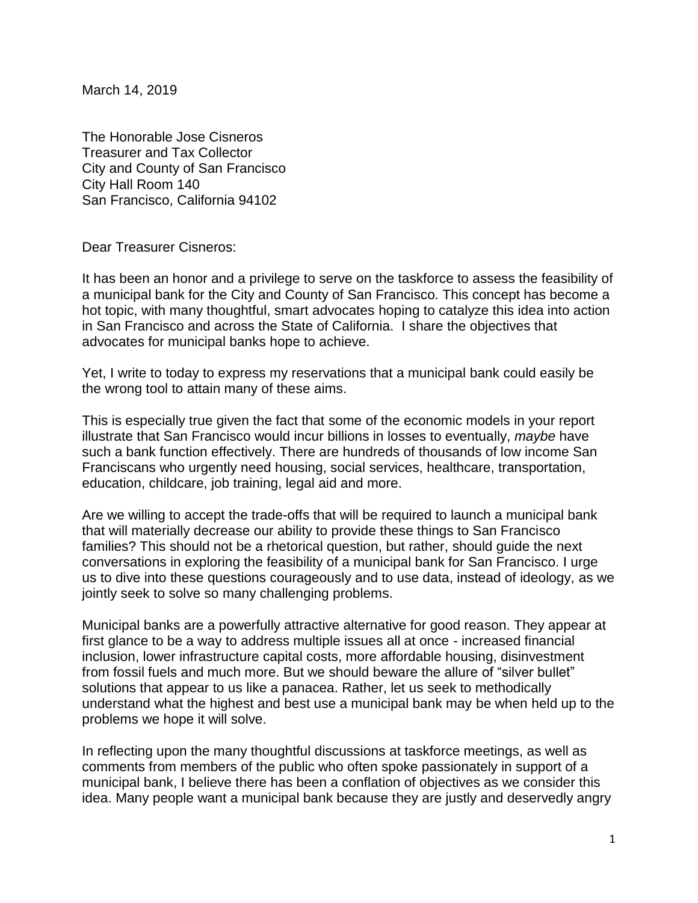March 14, 2019

The Honorable Jose Cisneros Treasurer and Tax Collector City and County of San Francisco City Hall Room 140 San Francisco, California 94102

Dear Treasurer Cisneros:

It has been an honor and a privilege to serve on the taskforce to assess the feasibility of a municipal bank for the City and County of San Francisco. This concept has become a hot topic, with many thoughtful, smart advocates hoping to catalyze this idea into action in San Francisco and across the State of California. I share the objectives that advocates for municipal banks hope to achieve.

Yet, I write to today to express my reservations that a municipal bank could easily be the wrong tool to attain many of these aims.

This is especially true given the fact that some of the economic models in your report illustrate that San Francisco would incur billions in losses to eventually, *maybe* have such a bank function effectively. There are hundreds of thousands of low income San Franciscans who urgently need housing, social services, healthcare, transportation, education, childcare, job training, legal aid and more.

Are we willing to accept the trade-offs that will be required to launch a municipal bank that will materially decrease our ability to provide these things to San Francisco families? This should not be a rhetorical question, but rather, should guide the next conversations in exploring the feasibility of a municipal bank for San Francisco. I urge us to dive into these questions courageously and to use data, instead of ideology, as we jointly seek to solve so many challenging problems.

Municipal banks are a powerfully attractive alternative for good reason. They appear at first glance to be a way to address multiple issues all at once - increased financial inclusion, lower infrastructure capital costs, more affordable housing, disinvestment from fossil fuels and much more. But we should beware the allure of "silver bullet" solutions that appear to us like a panacea. Rather, let us seek to methodically understand what the highest and best use a municipal bank may be when held up to the problems we hope it will solve.

In reflecting upon the many thoughtful discussions at taskforce meetings, as well as comments from members of the public who often spoke passionately in support of a municipal bank, I believe there has been a conflation of objectives as we consider this idea. Many people want a municipal bank because they are justly and deservedly angry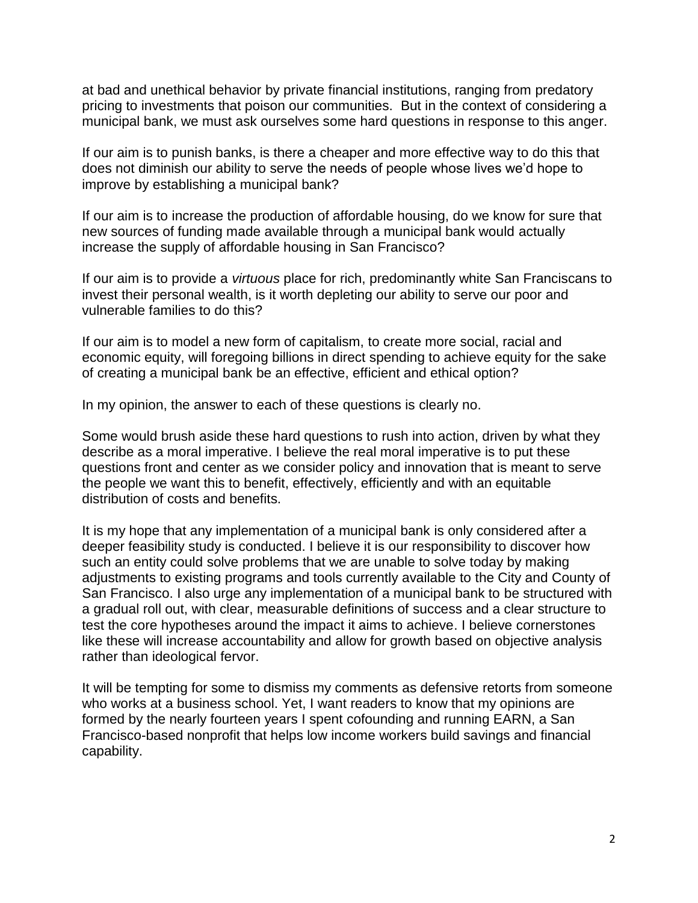at bad and unethical behavior by private financial institutions, ranging from predatory pricing to investments that poison our communities. But in the context of considering a municipal bank, we must ask ourselves some hard questions in response to this anger.

If our aim is to punish banks, is there a cheaper and more effective way to do this that does not diminish our ability to serve the needs of people whose lives we'd hope to improve by establishing a municipal bank?

If our aim is to increase the production of affordable housing, do we know for sure that new sources of funding made available through a municipal bank would actually increase the supply of affordable housing in San Francisco?

If our aim is to provide a *virtuous* place for rich, predominantly white San Franciscans to invest their personal wealth, is it worth depleting our ability to serve our poor and vulnerable families to do this?

If our aim is to model a new form of capitalism, to create more social, racial and economic equity, will foregoing billions in direct spending to achieve equity for the sake of creating a municipal bank be an effective, efficient and ethical option?

In my opinion, the answer to each of these questions is clearly no.

Some would brush aside these hard questions to rush into action, driven by what they describe as a moral imperative. I believe the real moral imperative is to put these questions front and center as we consider policy and innovation that is meant to serve the people we want this to benefit, effectively, efficiently and with an equitable distribution of costs and benefits.

It is my hope that any implementation of a municipal bank is only considered after a deeper feasibility study is conducted. I believe it is our responsibility to discover how such an entity could solve problems that we are unable to solve today by making adjustments to existing programs and tools currently available to the City and County of San Francisco. I also urge any implementation of a municipal bank to be structured with a gradual roll out, with clear, measurable definitions of success and a clear structure to test the core hypotheses around the impact it aims to achieve. I believe cornerstones like these will increase accountability and allow for growth based on objective analysis rather than ideological fervor.

It will be tempting for some to dismiss my comments as defensive retorts from someone who works at a business school. Yet, I want readers to know that my opinions are formed by the nearly fourteen years I spent cofounding and running EARN, a San Francisco-based nonprofit that helps low income workers build savings and financial capability.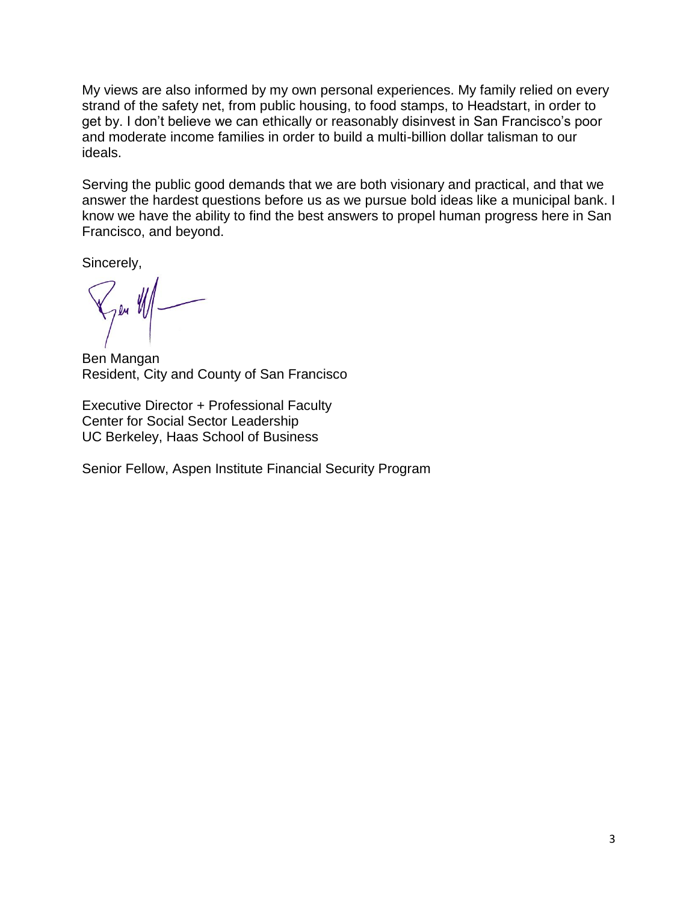My views are also informed by my own personal experiences. My family relied on every strand of the safety net, from public housing, to food stamps, to Headstart, in order to get by. I don't believe we can ethically or reasonably disinvest in San Francisco's poor and moderate income families in order to build a multi-billion dollar talisman to our ideals.

Serving the public good demands that we are both visionary and practical, and that we answer the hardest questions before us as we pursue bold ideas like a municipal bank. I know we have the ability to find the best answers to propel human progress here in San Francisco, and beyond.

Sincerely,

7en VII

Ben Mangan Resident, City and County of San Francisco

Executive Director + Professional Faculty Center for Social Sector Leadership UC Berkeley, Haas School of Business

Senior Fellow, Aspen Institute Financial Security Program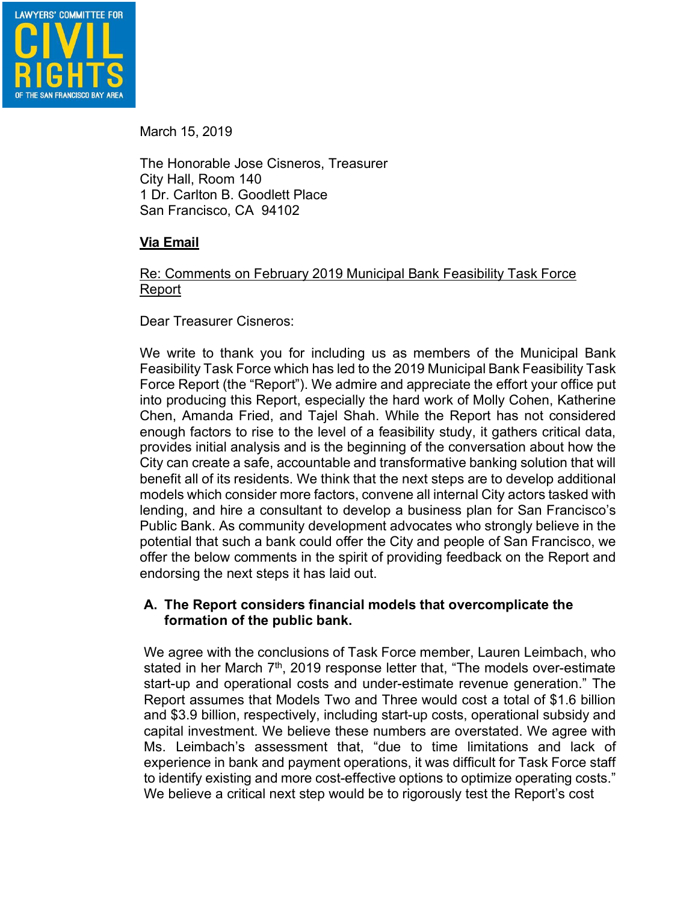

March 15, 2019

The Honorable Jose Cisneros, Treasurer City Hall, Room 140 1 Dr. Carlton B. Goodlett Place San Francisco, CA 94102

# **Via Email**

#### Re: Comments on February 2019 Municipal Bank Feasibility Task Force Report

Dear Treasurer Cisneros:

We write to thank you for including us as members of the Municipal Bank Feasibility Task Force which has led to the 2019 Municipal Bank Feasibility Task Force Report (the "Report"). We admire and appreciate the effort your office put into producing this Report, especially the hard work of Molly Cohen, Katherine Chen, Amanda Fried, and Tajel Shah. While the Report has not considered enough factors to rise to the level of a feasibility study, it gathers critical data, provides initial analysis and is the beginning of the conversation about how the City can create a safe, accountable and transformative banking solution that will benefit all of its residents. We think that the next steps are to develop additional models which consider more factors, convene all internal City actors tasked with lending, and hire a consultant to develop a business plan for San Francisco's Public Bank. As community development advocates who strongly believe in the potential that such a bank could offer the City and people of San Francisco, we offer the below comments in the spirit of providing feedback on the Report and endorsing the next steps it has laid out.

#### **A. The Report considers financial models that overcomplicate the formation of the public bank.**

We agree with the conclusions of Task Force member, Lauren Leimbach, who stated in her March 7<sup>th</sup>, 2019 response letter that, "The models over-estimate start-up and operational costs and under-estimate revenue generation." The Report assumes that Models Two and Three would cost a total of \$1.6 billion and \$3.9 billion, respectively, including start-up costs, operational subsidy and capital investment. We believe these numbers are overstated. We agree with Ms. Leimbach's assessment that, "due to time limitations and lack of experience in bank and payment operations, it was difficult for Task Force staff to identify existing and more cost-effective options to optimize operating costs." We believe a critical next step would be to rigorously test the Report's cost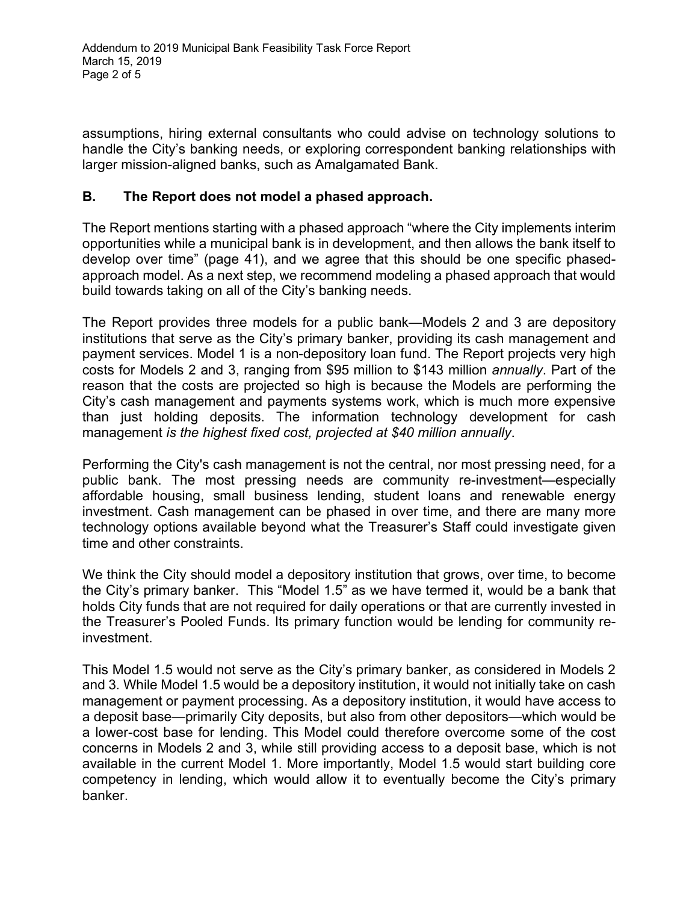assumptions, hiring external consultants who could advise on technology solutions to handle the City's banking needs, or exploring correspondent banking relationships with larger mission-aligned banks, such as Amalgamated Bank.

# **B. The Report does not model a phased approach.**

The Report mentions starting with a phased approach "where the City implements interim opportunities while a municipal bank is in development, and then allows the bank itself to develop over time" (page 41), and we agree that this should be one specific phasedapproach model. As a next step, we recommend modeling a phased approach that would build towards taking on all of the City's banking needs.

The Report provides three models for a public bank—Models 2 and 3 are depository institutions that serve as the City's primary banker, providing its cash management and payment services. Model 1 is a non-depository loan fund. The Report projects very high costs for Models 2 and 3, ranging from \$95 million to \$143 million *annually*. Part of the reason that the costs are projected so high is because the Models are performing the City's cash management and payments systems work, which is much more expensive than just holding deposits. The information technology development for cash management *is the highest fixed cost, projected at \$40 million annually*.

Performing the City's cash management is not the central, nor most pressing need, for a public bank. The most pressing needs are community re-investment—especially affordable housing, small business lending, student loans and renewable energy investment. Cash management can be phased in over time, and there are many more technology options available beyond what the Treasurer's Staff could investigate given time and other constraints.

We think the City should model a depository institution that grows, over time, to become the City's primary banker. This "Model 1.5" as we have termed it, would be a bank that holds City funds that are not required for daily operations or that are currently invested in the Treasurer's Pooled Funds. Its primary function would be lending for community reinvestment.

This Model 1.5 would not serve as the City's primary banker, as considered in Models 2 and 3*.* While Model 1.5 would be a depository institution, it would not initially take on cash management or payment processing. As a depository institution, it would have access to a deposit base—primarily City deposits, but also from other depositors—which would be a lower-cost base for lending. This Model could therefore overcome some of the cost concerns in Models 2 and 3, while still providing access to a deposit base, which is not available in the current Model 1. More importantly, Model 1.5 would start building core competency in lending, which would allow it to eventually become the City's primary banker.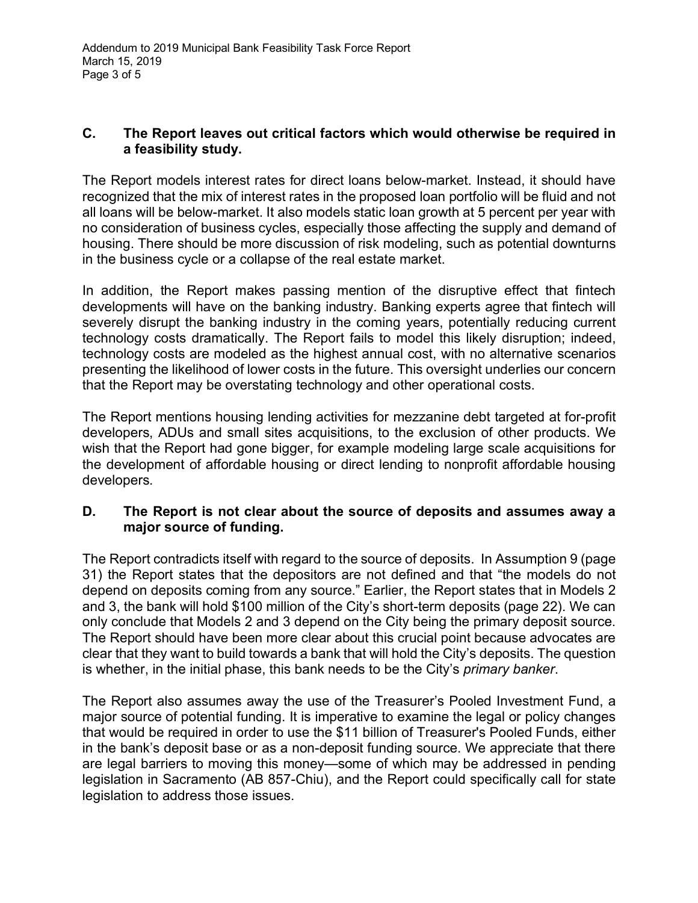### **C. The Report leaves out critical factors which would otherwise be required in a feasibility study.**

The Report models interest rates for direct loans below-market. Instead, it should have recognized that the mix of interest rates in the proposed loan portfolio will be fluid and not all loans will be below-market. It also models static loan growth at 5 percent per year with no consideration of business cycles, especially those affecting the supply and demand of housing. There should be more discussion of risk modeling, such as potential downturns in the business cycle or a collapse of the real estate market.

In addition, the Report makes passing mention of the disruptive effect that fintech developments will have on the banking industry. Banking experts agree that fintech will severely disrupt the banking industry in the coming years, potentially reducing current technology costs dramatically. The Report fails to model this likely disruption; indeed, technology costs are modeled as the highest annual cost, with no alternative scenarios presenting the likelihood of lower costs in the future. This oversight underlies our concern that the Report may be overstating technology and other operational costs.

The Report mentions housing lending activities for mezzanine debt targeted at for-profit developers, ADUs and small sites acquisitions, to the exclusion of other products. We wish that the Report had gone bigger, for example modeling large scale acquisitions for the development of affordable housing or direct lending to nonprofit affordable housing developers.

#### **D. The Report is not clear about the source of deposits and assumes away a major source of funding.**

The Report contradicts itself with regard to the source of deposits. In Assumption 9 (page 31) the Report states that the depositors are not defined and that "the models do not depend on deposits coming from any source." Earlier, the Report states that in Models 2 and 3, the bank will hold \$100 million of the City's short-term deposits (page 22). We can only conclude that Models 2 and 3 depend on the City being the primary deposit source. The Report should have been more clear about this crucial point because advocates are clear that they want to build towards a bank that will hold the City's deposits. The question is whether, in the initial phase, this bank needs to be the City's *primary banker*.

The Report also assumes away the use of the Treasurer's Pooled Investment Fund, a major source of potential funding. It is imperative to examine the legal or policy changes that would be required in order to use the \$11 billion of Treasurer's Pooled Funds, either in the bank's deposit base or as a non-deposit funding source. We appreciate that there are legal barriers to moving this money—some of which may be addressed in pending legislation in Sacramento (AB 857-Chiu), and the Report could specifically call for state legislation to address those issues.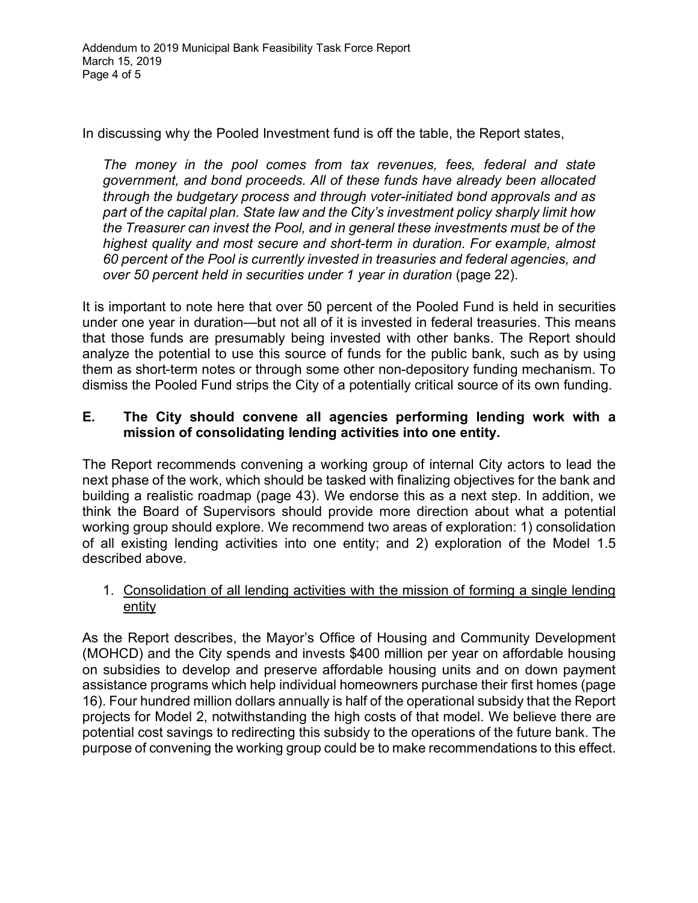In discussing why the Pooled Investment fund is off the table, the Report states,

*The money in the pool comes from tax revenues, fees, federal and state government, and bond proceeds. All of these funds have already been allocated through the budgetary process and through voter-initiated bond approvals and as part of the capital plan. State law and the City's investment policy sharply limit how the Treasurer can invest the Pool, and in general these investments must be of the highest quality and most secure and short-term in duration. For example, almost 60 percent of the Pool is currently invested in treasuries and federal agencies, and over 50 percent held in securities under 1 year in duration* (page 22).

It is important to note here that over 50 percent of the Pooled Fund is held in securities under one year in duration—but not all of it is invested in federal treasuries. This means that those funds are presumably being invested with other banks. The Report should analyze the potential to use this source of funds for the public bank, such as by using them as short-term notes or through some other non-depository funding mechanism. To dismiss the Pooled Fund strips the City of a potentially critical source of its own funding.

# **E. The City should convene all agencies performing lending work with a mission of consolidating lending activities into one entity.**

The Report recommends convening a working group of internal City actors to lead the next phase of the work, which should be tasked with finalizing objectives for the bank and building a realistic roadmap (page 43). We endorse this as a next step. In addition, we think the Board of Supervisors should provide more direction about what a potential working group should explore. We recommend two areas of exploration: 1) consolidation of all existing lending activities into one entity; and 2) exploration of the Model 1.5 described above.

# 1. Consolidation of all lending activities with the mission of forming a single lending entity

As the Report describes, the Mayor's Office of Housing and Community Development (MOHCD) and the City spends and invests \$400 million per year on affordable housing on subsidies to develop and preserve affordable housing units and on down payment assistance programs which help individual homeowners purchase their first homes (page 16). Four hundred million dollars annually is half of the operational subsidy that the Report projects for Model 2, notwithstanding the high costs of that model. We believe there are potential cost savings to redirecting this subsidy to the operations of the future bank. The purpose of convening the working group could be to make recommendations to this effect.